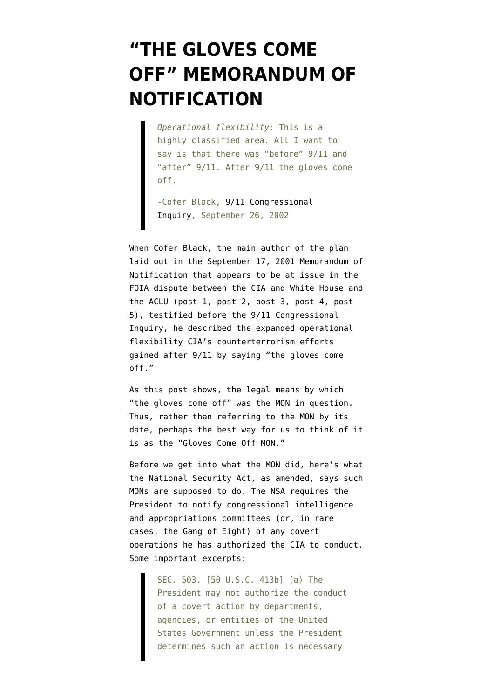## **["THE GLOVES COME](https://www.emptywheel.net/2012/04/21/the-gloves-come-off-memorandum-of-notification/) [OFF" MEMORANDUM OF](https://www.emptywheel.net/2012/04/21/the-gloves-come-off-memorandum-of-notification/) [NOTIFICATION](https://www.emptywheel.net/2012/04/21/the-gloves-come-off-memorandum-of-notification/)**

*Operational flexibility*: This is a highly classified area. All I want to say is that there was "before" 9/11 and "after" 9/11. After 9/11 the gloves come off.

-Cofer Black, [9/11 Congressional](https://www.fas.org/irp/congress/2002_hr/092602black.html) [Inquiry,](https://www.fas.org/irp/congress/2002_hr/092602black.html) September 26, 2002

When Cofer Black, the main author of the plan laid out in the September 17, 2001 Memorandum of Notification that appears to be at issue in the FOIA dispute between the CIA and White House and the ACLU ([post 1,](https://www.emptywheel.net/2012/04/18/the-cia-continues-to-cover-up-bushs-authorization-of-torture/) [post 2,](https://www.emptywheel.net/2012/04/19/the-memorandum-of-notification-the-cia-pretends-has-never-been-acknolwedged/) [post 3,](https://www.emptywheel.net/2012/04/19/george-tenets-bureaucratic-cya/) [post 4,](https://www.emptywheel.net/2012/04/20/the-cias-nscs-presidents-torture-program/) [post](http://www.emptywheel.net/2012/04/20/judge-hellerstein-yes-the-redacted-torture-authorization-pertains-to-the-september-17-2001-torture-authorization/) [5\)](http://www.emptywheel.net/2012/04/20/judge-hellerstein-yes-the-redacted-torture-authorization-pertains-to-the-september-17-2001-torture-authorization/), testified before the 9/11 Congressional Inquiry, he described the expanded operational flexibility CIA's counterterrorism efforts gained after 9/11 by saying "the gloves come off."

As this post shows, the legal means by which "the gloves come off" was the MON in question. Thus, rather than referring to the MON by its date, perhaps the best way for us to think of it is as the "Gloves Come Off MON."

Before we get into what the MON did, here's what the [National Security Act,](http://www.emptywheel.net/wp-content/uploads/2012/04/070803-National-Security-Act.pdf) as amended, says such MONs are supposed to do. The NSA requires the President to notify congressional intelligence and appropriations committees (or, in rare cases, the Gang of Eight) of any covert operations he has authorized the CIA to conduct. Some important excerpts:

> SEC. 503. [50 U.S.C. 413b] (a) The President may not authorize the conduct of a covert action by departments, agencies, or entities of the United States Government unless the President determines such an action is necessary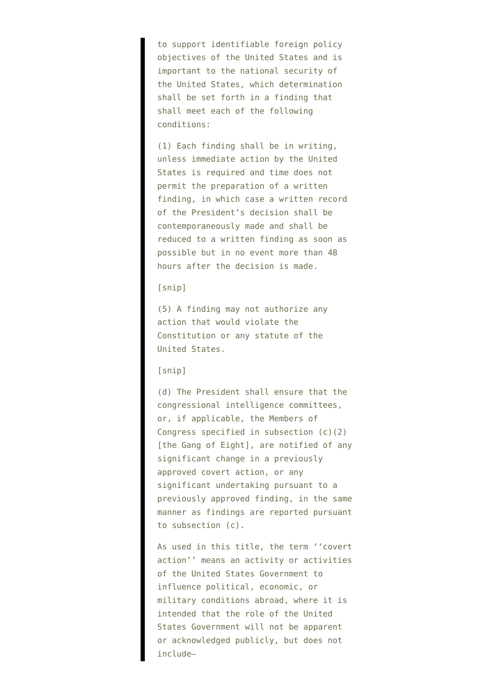to support identifiable foreign policy objectives of the United States and is important to the national security of the United States, which determination shall be set forth in a finding that shall meet each of the following conditions:

(1) Each finding shall be in writing, unless immediate action by the United States is required and time does not permit the preparation of a written finding, in which case a written record of the President's decision shall be contemporaneously made and shall be reduced to a written finding as soon as possible but in no event more than 48 hours after the decision is made.

## [snip]

(5) A finding may not authorize any action that would violate the Constitution or any statute of the United States.

## [snip]

(d) The President shall ensure that the congressional intelligence committees, or, if applicable, the Members of Congress specified in subsection (c)(2) [the Gang of Eight], are notified of any significant change in a previously approved covert action, or any significant undertaking pursuant to a previously approved finding, in the same manner as findings are reported pursuant to subsection (c).

As used in this title, the term ''covert action'' means an activity or activities of the United States Government to influence political, economic, or military conditions abroad, where it is intended that the role of the United States Government will not be apparent or acknowledged publicly, but does not include—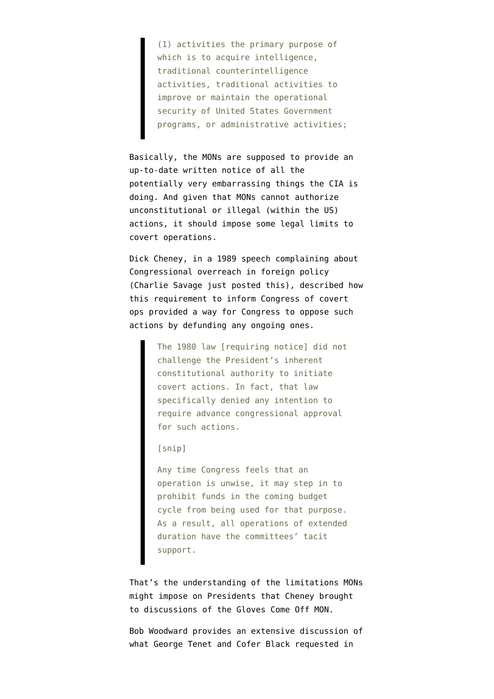(1) activities the primary purpose of which is to acquire intelligence, traditional counterintelligence activities, traditional activities to improve or maintain the operational security of United States Government programs, or administrative activities;

Basically, the MONs are supposed to provide an up-to-date written notice of all the potentially very embarrassing things the CIA is doing. And given that MONs cannot authorize unconstitutional or illegal (within the US) actions, it should impose some legal limits to covert operations.

Dick Cheney, in a [1989 speech complaining about](https://www.documentcloud.org/documents/339579-congressional-overreaching-cheney.html) [Congressional overreach in foreign policy](https://www.documentcloud.org/documents/339579-congressional-overreaching-cheney.html) (Charlie Savage just posted this), described how this requirement to inform Congress of covert ops provided a way for Congress to oppose such actions by defunding any ongoing ones.

> The 1980 law [requiring notice] did not challenge the President's inherent constitutional authority to initiate covert actions. In fact, that law specifically denied any intention to require advance congressional approval for such actions.

[snip]

Any time Congress feels that an operation is unwise, it may step in to prohibit funds in the coming budget cycle from being used for that purpose. As a result, all operations of extended duration have the committees' tacit support.

That's the understanding of the limitations MONs might impose on Presidents that Cheney brought to discussions of the Gloves Come Off MON.

Bob Woodward provides an extensive discussion of what George Tenet and Cofer Black requested in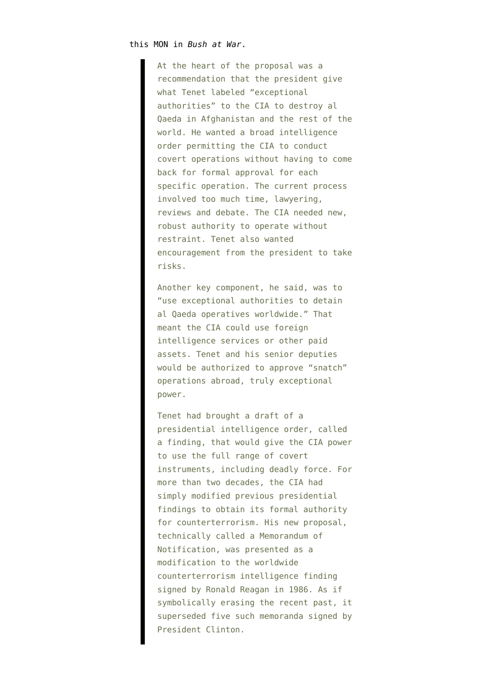## this MON in *Bush at War*.

At the heart of the proposal was a recommendation that the president give what Tenet labeled "exceptional authorities" to the CIA to destroy al Qaeda in Afghanistan and the rest of the world. He wanted a broad intelligence order permitting the CIA to conduct covert operations without having to come back for formal approval for each specific operation. The current process involved too much time, lawyering, reviews and debate. The CIA needed new, robust authority to operate without restraint. Tenet also wanted encouragement from the president to take risks.

Another key component, he said, was to "use exceptional authorities to detain al Qaeda operatives worldwide." That meant the CIA could use foreign intelligence services or other paid assets. Tenet and his senior deputies would be authorized to approve "snatch" operations abroad, truly exceptional power.

Tenet had brought a draft of a presidential intelligence order, called a finding, that would give the CIA power to use the full range of covert instruments, including deadly force. For more than two decades, the CIA had simply modified previous presidential findings to obtain its formal authority for counterterrorism. His new proposal, technically called a Memorandum of Notification, was presented as a modification to the worldwide counterterrorism intelligence finding signed by Ronald Reagan in 1986. As if symbolically erasing the recent past, it superseded five such memoranda signed by President Clinton.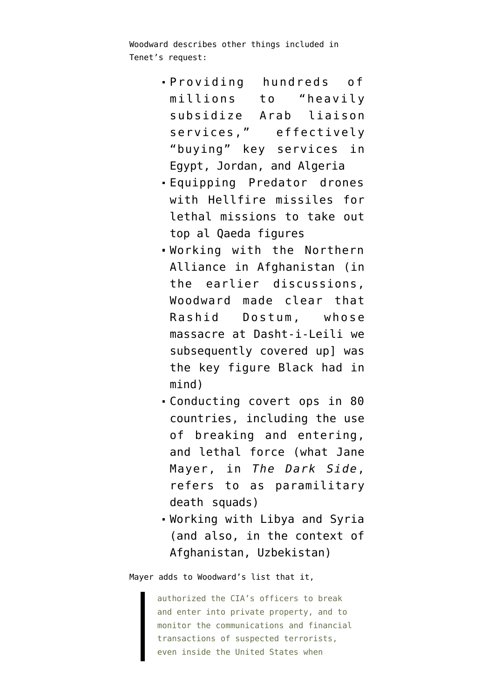Woodward describes other things included in Tenet's request:

- Providing hundreds of millions to "heavily subsidize Arab liaison services," effectively "buying" key services in Egypt, Jordan, and Algeria
- Equipping Predator drones with Hellfire missiles for lethal missions to take out top al Qaeda figures
- Working with the Northern Alliance in Afghanistan (in the earlier discussions, Woodward made clear that Rashid Dostum, whose [massacre at Dasht-i-Leili](https://www.democracynow.org/2009/8/18/eight_years_after_orchestrating_massacre_at) we subsequently covered up] was the key figure Black had in mind)
- Conducting covert ops in 80 countries, including the use of breaking and entering, and lethal force (what Jane Mayer, in *The Dark Side*, refers to as paramilitary death squads)
- Working with Libya and Syria (and also, in the context of Afghanistan, Uzbekistan)

Mayer adds to Woodward's list that it,

authorized the CIA's officers to break and enter into private property, and to monitor the communications and financial transactions of suspected terrorists, even inside the United States when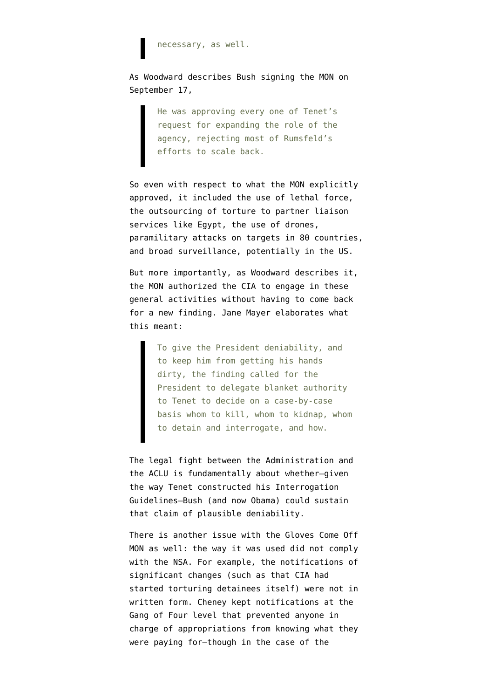necessary, as well.

As Woodward describes Bush signing the MON on September 17,

> He was approving every one of Tenet's request for expanding the role of the agency, rejecting most of Rumsfeld's efforts to scale back.

So even with respect to what the MON explicitly approved, it included the use of lethal force, the outsourcing of torture to partner liaison services like Egypt, the use of drones, paramilitary attacks on targets in 80 countries, and broad surveillance, potentially in the US.

But more importantly, as Woodward describes it, the MON authorized the CIA to engage in these general activities without having to come back for a new finding. Jane Mayer elaborates what this meant:

> To give the President deniability, and to keep him from getting his hands dirty, the finding called for the President to delegate blanket authority to Tenet to decide on a case-by-case basis whom to kill, whom to kidnap, whom to detain and interrogate, and how.

The legal fight between the Administration and the ACLU is fundamentally about whether–given [the way Tenet constructed his Interrogation](http://www.emptywheel.net/2012/04/19/george-tenets-bureaucratic-cya/) [Guidelines–](http://www.emptywheel.net/2012/04/19/george-tenets-bureaucratic-cya/)Bush (and now Obama) could sustain that claim of plausible deniability.

There is another issue with the Gloves Come Off MON as well: the way it was used did not comply with the NSA. For example, the notifications of significant changes (such as that CIA had started torturing detainees itself) were not in written form. Cheney kept notifications at the Gang of Four level that prevented anyone in charge of appropriations from knowing what they were paying for–though in the case of the